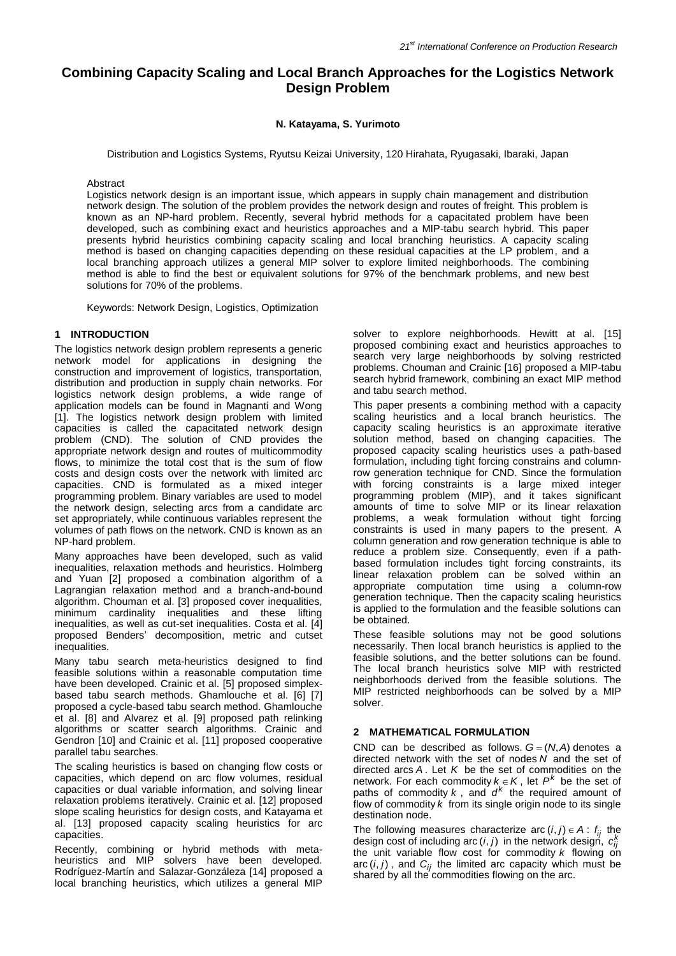# **Combining Capacity Scaling and Local Branch Approaches for the Logistics Network Design Problem**

### **N. Katayama, S. Yurimoto**

Distribution and Logistics Systems, Ryutsu Keizai University, 120 Hirahata, Ryugasaki, Ibaraki, Japan

Abstract

Logistics network design is an important issue, which appears in supply chain management and distribution network design. The solution of the problem provides the network design and routes of freight. This problem is known as an NP-hard problem. Recently, several hybrid methods for a capacitated problem have been developed, such as combining exact and heuristics approaches and a MIP-tabu search hybrid. This paper presents hybrid heuristics combining capacity scaling and local branching heuristics. A capacity scaling method is based on changing capacities depending on these residual capacities at the LP problem, and a local branching approach utilizes a general MIP solver to explore limited neighborhoods. The combining method is able to find the best or equivalent solutions for 97% of the benchmark problems, and new best solutions for 70% of the problems.

Keywords: Network Design, Logistics, Optimization

## **1 INTRODUCTION**

The logistics network design problem represents a generic network model for applications in designing the construction and improvement of logistics, transportation, distribution and production in supply chain networks. For logistics network design problems, a wide range of application models can be found in Magnanti and Wong [1]. The logistics network design problem with limited capacities is called the capacitated network design problem (CND). The solution of CND provides the appropriate network design and routes of multicommodity flows, to minimize the total cost that is the sum of flow costs and design costs over the network with limited arc capacities. CND is formulated as a mixed integer programming problem. Binary variables are used to model the network design, selecting arcs from a candidate arc set appropriately, while continuous variables represent the volumes of path flows on the network. CND is known as an NP-hard problem.

Many approaches have been developed, such as valid inequalities, relaxation methods and heuristics. Holmberg and Yuan [2] proposed a combination algorithm of a Lagrangian relaxation method and a branch-and-bound algorithm. Chouman et al. [3] proposed cover inequalities, minimum cardinality inequalities and these lifting inequalities, as well as cut-set inequalities. Costa et al. [4] proposed Benders' decomposition, metric and cutset inequalities.

Many tabu search meta-heuristics designed to find feasible solutions within a reasonable computation time have been developed. Crainic et al. [5] proposed simplexbased tabu search methods. Ghamlouche et al. [6] [7] proposed a cycle-based tabu search method. Ghamlouche et al. [8] and Alvarez et al. [9] proposed path relinking algorithms or scatter search algorithms. Crainic and Gendron [10] and Crainic et al. [11] proposed cooperative parallel tabu searches.

The scaling heuristics is based on changing flow costs or capacities, which depend on arc flow volumes, residual capacities or dual variable information, and solving linear relaxation problems iteratively. Crainic et al. [12] proposed slope scaling heuristics for design costs, and Katayama et al. [13] proposed capacity scaling heuristics for arc capacities.

Recently, combining or hybrid methods with meta-<br>heuristics and MIP solvers have been developed. solvers have been developed. Rodríguez-Martín and Salazar-Gonzáleza [14] proposed a local branching heuristics, which utilizes a general MIP solver to explore neighborhoods. Hewitt at al. [15] proposed combining exact and heuristics approaches to search very large neighborhoods by solving restricted problems. Chouman and Crainic [16] proposed a MIP-tabu search hybrid framework, combining an exact MIP method and tabu search method.

This paper presents a combining method with a capacity scaling heuristics and a local branch heuristics. The capacity scaling heuristics is an approximate iterative solution method, based on changing capacities. The proposed capacity scaling heuristics uses a path-based formulation, including tight forcing constrains and columnrow generation technique for CND. Since the formulation with forcing constraints is a large mixed integer programming problem (MIP), and it takes significant amounts of time to solve MIP or its linear relaxation problems, a weak formulation without tight forcing constraints is used in many papers to the present. A column generation and row generation technique is able to reduce a problem size. Consequently, even if a pathbased formulation includes tight forcing constraints, its linear relaxation problem can be solved within an appropriate computation time using a column-row generation technique. Then the capacity scaling heuristics is applied to the formulation and the feasible solutions can be obtained.

These feasible solutions may not be good solutions necessarily. Then local branch heuristics is applied to the feasible solutions, and the better solutions can be found. The local branch heuristics solve MIP with restricted neighborhoods derived from the feasible solutions. The MIP restricted neighborhoods can be solved by a MIP solver.

## **2 MATHEMATICAL FORMULATION**

CND can be described as follows.  $G = (N, A)$  denotes a directed network with the set of nodes *N* and the set of directed arcs *A* . Let *K* be the set of commodities on the network. For each commodity  $k \in K$ , let  $P^k$  be the set of paths of commodity  $k$ , and  $d^k$  the required amount of flow of commodity *k* from its single origin node to its single destination node.

The following measures characterize arc  $(i, j) \in A$ :  $f_{ij}$  the design cost of including arc (*i*, *j*) in the network design,  $c_{ij}^k$ the unit variable flow cost for commodity k flowing on arc  $(i, j)$ , and  $C_{ij}$  the limited arc capacity which must be shared by all the commodities flowing on the arc.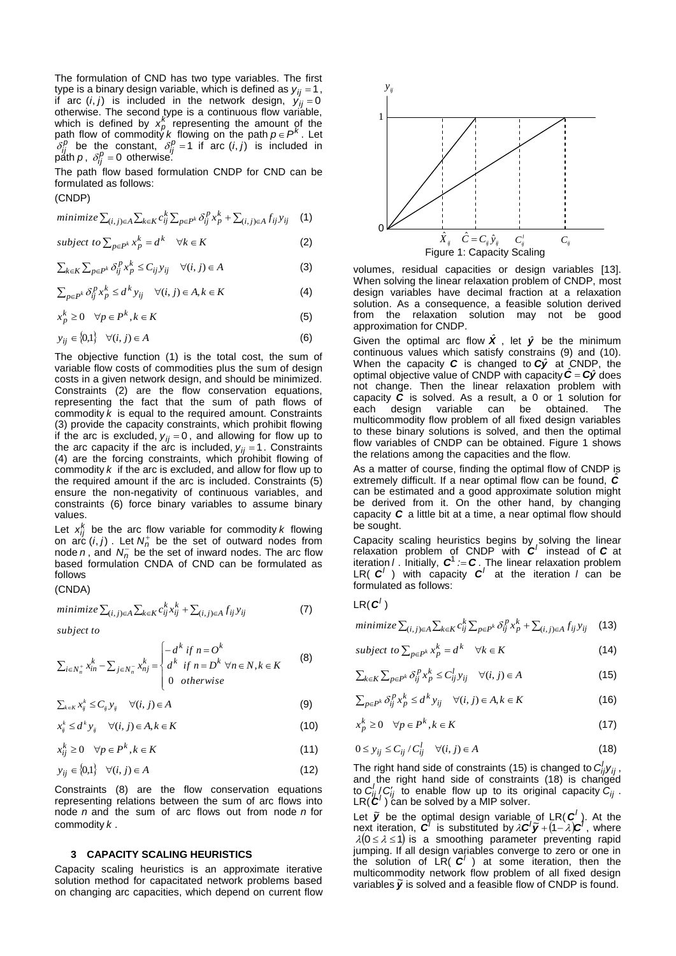The formulation of CND has two type variables. The first type is a binary design variable, which is defined as  $y_{ij} = 1$ , if arc  $(i, j)$  is included in the network design,  $y'_{ij} = 0$ otherwise. The second type is a continuous flow variable, which is defined by  $x_p^k$  representing the amount of the path flow of commodity *k* flowing on the path  $p \in P^k$ . Let  $\delta_{ij}^p$  be the constant,  $\delta_{ij}^p = 1$  if arc  $(i, j)$  is included in  $p^j$ <sub>*p*</sub> *p*<sup>*n*</sup> *p* ,  $\delta^p_{ij}$  = 0 otherwise.

The path flow based formulation CNDP for CND can be formulated as follows:

(CNDP)

$$
minimize \sum_{(i,j)\in A} \sum_{k\in K} c_{ij}^k \sum_{p\in P^k} \delta_{ij}^p x_p^k + \sum_{(i,j)\in A} f_{ij} y_{ij} \quad (1)
$$

subject to 
$$
\sum_{p \in P^k} x_p^k = d^k \quad \forall k \in K
$$
 (2)

$$
\sum_{k \in K} \sum_{p \in P^k} \delta_{ij}^p x_p^k \le C_{ij} y_{ij} \quad \forall (i, j) \in A
$$
 (3)

$$
\sum_{p \in P^k} \delta_{ij}^p x_p^k \le d^k y_{ij} \quad \forall (i, j) \in A, k \in K
$$
 (4)

$$
x_p^k \ge 0 \quad \forall p \in P^k, k \in K \tag{5}
$$

$$
y_{ij} \in \{0,1\} \quad \forall (i,j) \in A \tag{6}
$$

The objective function (1) is the total cost, the sum of variable flow costs of commodities plus the sum of design costs in a given network design, and should be minimized. Constraints (2) are the flow conservation equations, representing the fact that the sum of path flows of commodity *k* is equal to the required amount. Constraints (3) provide the capacity constraints, which prohibit flowing if the arc is excluded,  $y_{ij} = 0$ , and allowing for flow up to the arc capacity if the arc is included,  $y_{ij} = 1$ . Constraints (4) are the forcing constraints, which prohibit flowing of commodity *k* if the arc is excluded, and allow for flow up to the required amount if the arc is included. Constraints (5) ensure the non-negativity of continuous variables, and constraints (6) force binary variables to assume binary values.

Let  $x_{ij}^k$  be the arc flow variable for commodity  $k$  flowing on arc  $(i, j)$ . Let  $N_n^+$  be the set of outward nodes from node *n*, and  $N_n^-$  be the set of inward nodes. The arc flow based formulation CNDA of CND can be formulated as follows

# (CNDA)

$$
minimize \sum_{(i,j)\in A} \sum_{k\in K} c_{ij}^k x_{ij}^k + \sum_{(i,j)\in A} f_{ij} y_{ij}
$$
\n
$$
\tag{7}
$$

 $subject to$ 

subject to  
\n
$$
\sum_{i \in N_n^+} x_{in}^k - \sum_{j \in N_n^-} x_{nj}^k = \begin{cases}\n-d^k & \text{if } n = O^k \\
d^k & \text{if } n = D^k \,\forall n \in N, k \in K \\
0 & \text{otherwise}\n\end{cases}
$$
\n(8)

$$
\sum_{k \in K} x_{ij}^k \le C_{ij} y_{ij} \quad \forall (i, j) \in A
$$
\n(9)

$$
x_{ij}^k \le d^k y_{ij} \quad \forall (i, j) \in A, k \in K \tag{10}
$$

$$
x_{ij}^k \ge 0 \quad \forall p \in P^k, k \in K \tag{11}
$$

$$
y_{ij} \in \{0,1\} \quad \forall (i,j) \in A \tag{12}
$$

Constraints (8) are the flow conservation equations representing relations between the sum of arc flows into node *n* and the sum of arc flows out from node *n* for commodity *k* .

#### **3 CAPACITY SCALING HEURISTICS**

Capacity scaling heuristics is an approximate iterative solution method for capacitated network problems based on changing arc capacities, which depend on current flow



volumes, residual capacities or design variables [13]. When solving the linear relaxation problem of CNDP, most design variables have decimal fraction at a relaxation solution. As a consequence, a feasible solution derived from the relaxation solution may not be good approximation for CNDP.

Given the optimal arc flow  $\hat{\mathbf{X}}$ , let  $\hat{\mathbf{y}}$  be the minimum continuous values which satisfy constrains (9) and (10). When the capacity  $C$  is changed to  $Cy$  at CNDP, the optimal objective value of CNDP with capacity  $\hat{C} = C\hat{y}$  does not change. Then the linear relaxation problem with capacity  $\overrightarrow{C}$  is solved. As a result, a 0 or 1 solution for each design variable can be obtained. The multicommodity flow problem of all fixed design variables to these binary solutions is solved, and then the optimal flow variables of CNDP can be obtained. Figure 1 shows the relations among the capacities and the flow.

As a matter of course, finding the optimal flow of CNDP is extremely difficult. If a near optimal flow can be found,  $\hat{C}$ can be estimated and a good approximate solution might be derived from it. On the other hand, by changing capacity *C* a little bit at a time, a near optimal flow should be sought.

Capacity scaling heuristics begins by solving the linear relaxation problem of CNDP with  $C'$  instead of  $C$  at iteration *l* . Initially,  $C^1 = C$ . The linear relaxation problem LR( $C^l$ ) with capacity  $C^l$  at the iteration *l* can be formulated as follows:

$$
LR(C')
$$

$$
minimize \sum_{(i,j)\in A} \sum_{k\in K} c_{ij}^k \sum_{p\in P^k} \delta_{ij}^p x_p^k + \sum_{(i,j)\in A} f_{ij} y_{ij} \quad (13)
$$

subject to 
$$
\sum_{p \in P^k} x_p^k = d^k \quad \forall k \in K
$$
 (14)

$$
\sum_{k \in K} \sum_{p \in P^k} \delta_{ij}^p x_p^k \le C_{ij}^l y_{ij} \quad \forall (i, j) \in A
$$
\n(15)

$$
\sum_{p \in P^k} \delta_{ij}^p x_p^k \le d^k y_{ij} \quad \forall (i, j) \in A, k \in K
$$
 (16)

$$
x_p^k \ge 0 \quad \forall p \in P^k, k \in K \tag{17}
$$

$$
0 \le y_{ij} \le C_{ij} / C_{ij}^l \quad \forall (i, j) \in A \tag{18}
$$

The right hand side of constraints (15) is changed to  $C_{ij}^l y_{ij}$ , and the right hand side of constraints (18) is changed to  $C_{ij}^l$  / $C_{ij}^r$  to enable flow up to its original capacity  $C_{ij}$ .  $LR(\mathcal{C}')$  can be solved by a MIP solver.

Let  $\tilde{y}$  be the optimal design variable of LR( $C^{\prime}$ ). At the next iteration,  $C^{\prime}$  is substituted by  $\lambda C^{\prime} \tilde{y} + (1 - \lambda)C^{\prime}$ , where  $\lambda(0 \leq \lambda \leq 1)$  is a smoothing parameter preventing rapid jumping. If all design variables converge to zero or one in the solution of  $LR(C^{\prime})$  at some iteration, then the multicommodity network flow problem of all fixed design<br>variables **i** is solved and a feasible flow of CNDP is found variables  $\tilde{y}$  is solved and a feasible flow of CNDP is found.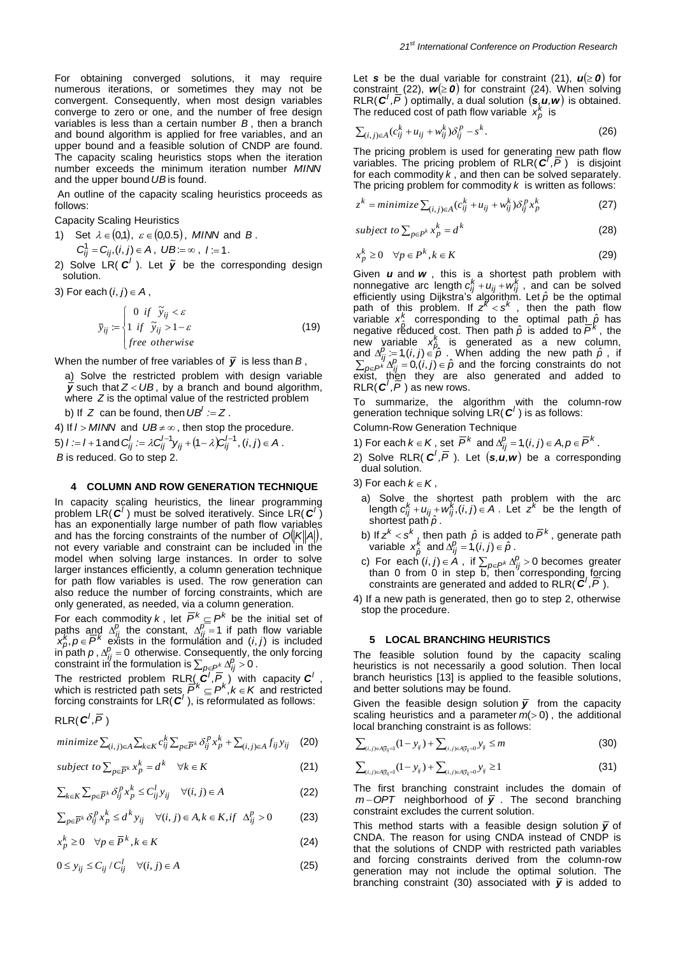An outline of the capacity scaling heuristics proceeds as follows:

Capacity Scaling Heuristics

- 1) Set  $\lambda \in (0,1)$ ,  $\varepsilon \in (0,0.5)$ , *MINN* and *B*.
	- $C_{ij}^1 = C_{ij}$ ,  $(i, j) \in A$ ,  $UB := \infty$ ,  $l := 1$ .
- 2) Solve LR( $c'$ ). Let  $\tilde{y}$  be the corresponding design solution.
- 3) For each  $(i, j) \in A$ ,

$$
\overline{y}_{ij} := \begin{cases}\n0 & \text{if } \widetilde{y}_{ij} < \varepsilon \\
1 & \text{if } \widetilde{y}_{ij} > 1 - \varepsilon \\
\text{free otherwise}\n\end{cases} \tag{19}
$$

When the number of free variables of  $\bar{y}$  is less than B,

a) Solve the restricted problem with design variable  $\bar{y}$  such that  $Z < UB$ , by a branch and bound algorithm, where *Z* is the optimal value of the restricted problem

b) If  $Z$  can be found, then  $UB' := Z$ .

4) If  $l > M/NN$  and  $UB \neq \infty$ , then stop the procedure. 5)  $l := l + 1$  and  $C_{ij}^l := \lambda C_{ij}^{l-1} y_{ij} + (1 - \lambda) C_{ij}^{l-1}$ ,  $(i, j) \in A$ . *B* is reduced. Go to step 2.

#### **4 COLUMN AND ROW GENERATION TECHNIQUE**

In capacity scaling heuristics, the linear programming problem LR( $c'$ ) must be solved iteratively. Since LR( $c'$ ) has an exponentially large number of path flow variables and has the forcing constraints of the number of  $O(|K||A|)$ , not every variable and constraint can be included in the model when solving large instances. In order to solve larger instances efficiently, a column generation technique for path flow variables is used. The row generation can also reduce the number of forcing constraints, which are only generated, as needed, via a column generation.

For each commodity *k*, let  $\overline{P}^k \subseteq P^k$  be the initial set of paths and  $\Delta_i^p$  the constant,  $\Delta_{ij}^p = 1$  if path flow variable  $x_b^k$ ,  $p \in \overline{P}^k$  exists in the formulation and  $(i, j)$  is included in path  $p$ ,  $\Delta_{ij}^p = 0$  otherwise. Consequently, the only forcing constraint in the formulation is  $\sum_{p \in P^k} \Delta_{ij}^p > 0$ .

The restricted problem RLR( $\left( \mathbf{C}^{l}, \overline{P} \right)$  with capacity  $\mathbf{C}^{l}$ , which is restricted path sets  $\overrightarrow{P}^k \subseteq P^k, k \in K$  and restricted forcing constraints for LR(  $C'$  ), is reformulated as follows:

$$
\mathsf{RLR}(\textbf{\textit{C}}^{\prime},\overline{\!\mathit{P}}\,)
$$

minimize  $\sum_{(i,j)\in A}\sum_{k\in K}c_{ij}^{k}\sum_{p\in \overline{P}^{k}}\delta_{ij}^{p}x_{p}^{k}+\sum_{(i,j)\in A}f_{ij}y_{ij}$ (20)

subject to 
$$
\sum_{p \in \overline{P}^k} x_p^k = d^k \quad \forall k \in K
$$
 (21)

$$
\sum_{k \in K} \sum_{p \in \overline{P}^k} \delta_{ij}^p x_p^k \le C_{ij}^l y_{ij} \quad \forall (i, j) \in A
$$
 (22)

$$
\sum_{p \in \overline{P}^k} \delta_{ij}^p x_p^k \le d^k y_{ij} \quad \forall (i, j) \in A, k \in K, if \Delta_{ij}^p > 0 \tag{23}
$$

$$
x_p^k \ge 0 \quad \forall p \in \overline{P}^k, k \in K \tag{24}
$$

$$
0 \le y_{ij} \le C_{ij} / C_{ij}^l \quad \forall (i, j) \in A \tag{25}
$$

Let **s** be the dual variable for constraint (21),  $u \ge 0$  for constraint (22),  $w(≥ 0)$  for constraint (24). When solving  $RLR(\mathbf{C}', \overline{P})$  optimally, a dual solution  $(\mathbf{s}, \mathbf{u}, \mathbf{w})$  is obtained. The reduced cost of path flow variable  $x_p^k$  is

$$
\sum_{(i,j)\in A} (c_{ij}^k + u_{ij} + w_{ij}^k) \delta_{ij}^p - s^k.
$$
 (26)

The pricing problem is used for generating new path flow variables. The pricing problem of RLR( $\mathbf{C}^7$ ,  $\overline{P}$ ) is disjoint for each commodity *k* , and then can be solved separately. The pricing problem for commodity *k* is written as follows:

$$
z^{k} = minimize \sum_{(i,j)\in A} (c_{ij}^{k} + u_{ij} + w_{ij}^{k}) \delta_{ij}^{p} x_{p}^{k}
$$
 (27)

subject to 
$$
\sum_{p \in P^k} x_p^k = d^k
$$
 (28)

$$
x_p^k \ge 0 \quad \forall p \in P^k, k \in K \tag{29}
$$

Given *u* and *w*, this is a shortest path problem with nonnegative arc length  $c_{ij}^k + u_{ij} + w_{ij}^k$ , and can be solved efficiently using Dijkstra's algorithm. Let  $\hat{p}$  be the optimal path of this problem. If  $z^{k} < s^{k}$ , then the path flow variable x<sup>k</sup>  $x_0^k$  corresponding to the optimal path  $\hat{\rho}$  has negative reduced cost. Then path  $\hat{p}$  is added to  $\overline{P}^k$ , the new variable  $x_{p}^{k}$  is generated as a new column, and  $\Delta_{ij}^{\beta} = 1$ ,  $(i, j) \in \hat{p}$ . When adding the new path  $\hat{p}$ , if  $\sum_{p \in P^k} \Delta_{ij}^p = 0$ ,  $(i, j) \in \hat{p}$  and the forcing constraints do not exist, then they are also generated and added to  $RLR(\mathbf{C}^l, \overline{P})$  as new rows.

To summarize, the algorithm with the column-row generation technique solving  $LR(C^{\prime})$  is as follows:

Column-Row Generation Technique

- 1) For each  $k \in K$ , set  $\overline{P}^k$  and  $\Delta_{ij}^p = 1$ ,  $(i, j) \in A$ ,  $p \in \overline{P}^k$ .
- 2) Solve RLR( $C^l$ ,  $\overline{P}$ ). Let  $(s, u, w)$  be a corresponding dual solution.
- 3) For each  $k \in K$ ,
	- a) Solve the shortest path problem with the arc length  $c_{ij}^k + u_{ij} + w_{ij}^k$ ,  $(i, j) \in A$ . Let  $z^k$  be the length of shortest path  $\hat{\rho}$ .
- b) If  $z^k < s^k$ , then path  $\hat{\rho}$  is added to  $\overline{P}^k$ , generate path variable *k*  $x_{\hat{p}}^k$  and  $\Delta_{ij}^p = 1$ ,  $(i, j) \in \hat{p}$ .
- c) For each  $(i, j) \in A$ , if  $\sum_{p \in P^k} \Delta_{ij}^p > 0$  becomes greater than 0 from 0 in step b, then corresponding forcing constraints are generated and added to RLR( $\vec{C}^{\prime}$ ,  $\vec{P}$ ).
- 4) If a new path is generated, then go to step 2, otherwise stop the procedure.

#### **5 LOCAL BRANCHING HEURISTICS**

The feasible solution found by the capacity scaling heuristics is not necessarily a good solution. Then local branch heuristics [13] is applied to the feasible solutions, and better solutions may be found.

Given the feasible design solution  $\bar{y}$  from the capacity scaling heuristics and a parameter  $m(>0)$ , the additional local branching constraint is as follows:

$$
\sum_{(i,j)\in A|\bar{y}_{ij}=1}(1-y_{ij})+\sum_{(i,j)\in A|\bar{y}_{ij}=0}y_{ij}\leq m
$$
\n(30)

$$
\sum_{(i,j)\in A|\bar{y}_{ij}=1} (1 - y_{ij}) + \sum_{(i,j)\in A|\bar{y}_{ij}=0} y_{ij} \ge 1
$$
\n(31)

The first branching constraint includes the domain of  $m$ –*OPT* neighborhood of  $\bar{y}$ . The second branching constraint excludes the current solution.

This method starts with a feasible design solution  $\bar{y}$  of CNDA. The reason for using CNDA instead of CNDP is that the solutions of CNDP with restricted path variables and forcing constraints derived from the column-row generation may not include the optimal solution. The branching constraint (30) associated with  $\bar{y}$  is added to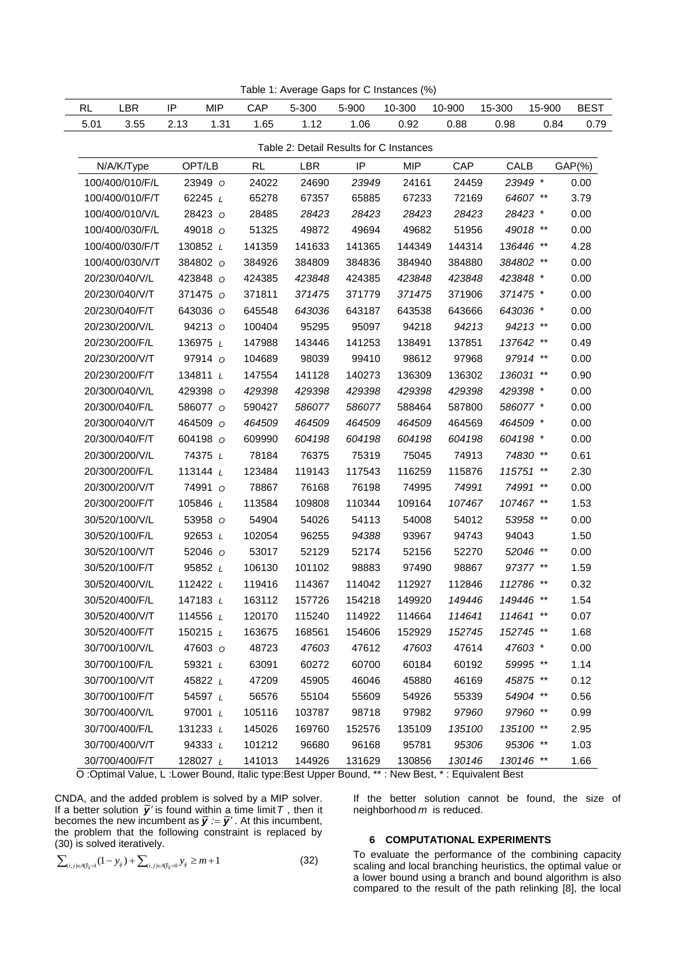| Table 1: Average Gaps for C Instances (%) |                 |          |            |        |            |        |                                         |        |           |        |             |
|-------------------------------------------|-----------------|----------|------------|--------|------------|--------|-----------------------------------------|--------|-----------|--------|-------------|
| <b>RL</b>                                 | <b>LBR</b>      | IP       | <b>MIP</b> | CAP    | 5-300      | 5-900  | 10-300                                  | 10-900 | 15-300    | 15-900 | <b>BEST</b> |
| 5.01                                      | 3.55            | 2.13     | 1.31       | 1.65   | 1.12       | 1.06   | 0.92                                    | 0.88   | 0.98      | 0.84   | 0.79        |
|                                           |                 |          |            |        |            |        | Table 2: Detail Results for C Instances |        |           |        |             |
|                                           | N/A/K/Type      | OPT/LB   |            | RL     | <b>LBR</b> | IP     | <b>MIP</b>                              | CAP    | CALB      |        | $GAP(\% )$  |
|                                           | 100/400/010/F/L |          | 23949 o    | 24022  | 24690      | 23949  | 24161                                   | 24459  | 23949 *   |        | 0.00        |
|                                           | 100/400/010/F/T |          | 62245 $L$  | 65278  | 67357      | 65885  | 67233                                   | 72169  | 64607 **  |        | 3.79        |
|                                           | 100/400/010/V/L |          | 28423 O    | 28485  | 28423      | 28423  | 28423                                   | 28423  | 28423 *   |        | 0.00        |
|                                           | 100/400/030/F/L |          | 49018 0    | 51325  | 49872      | 49694  | 49682                                   | 51956  | 49018 **  |        | 0.00        |
|                                           | 100/400/030/F/T | 130852 L |            | 141359 | 141633     | 141365 | 144349                                  | 144314 | 136446 ** |        | 4.28        |
|                                           | 100/400/030/V/T |          | 384802 o   | 384926 | 384809     | 384836 | 384940                                  | 384880 | 384802 ** |        | 0.00        |
|                                           | 20/230/040/V/L  |          | 423848 O   | 424385 | 423848     | 424385 | 423848                                  | 423848 | 423848 *  |        | 0.00        |
|                                           | 20/230/040/V/T  |          | 371475 o   | 371811 | 371475     | 371779 | 371475                                  | 371906 | 371475 *  |        | 0.00        |
|                                           | 20/230/040/F/T  | 643036 o |            | 645548 | 643036     | 643187 | 643538                                  | 643666 | 643036 *  |        | 0.00        |
|                                           | 20/230/200/V/L  |          | 94213 o    | 100404 | 95295      | 95097  | 94218                                   | 94213  | 94213 **  |        | 0.00        |
|                                           | 20/230/200/F/L  | 136975 L |            | 147988 | 143446     | 141253 | 138491                                  | 137851 | 137642 ** |        | 0.49        |
|                                           | 20/230/200/V/T  |          | 97914 o    | 104689 | 98039      | 99410  | 98612                                   | 97968  | 97914 **  |        | 0.00        |
|                                           | 20/230/200/F/T  | 134811 L |            | 147554 | 141128     | 140273 | 136309                                  | 136302 | 136031 ** |        | 0.90        |
|                                           | 20/300/040/V/L  | 429398 0 |            | 429398 | 429398     | 429398 | 429398                                  | 429398 | 429398 *  |        | 0.00        |
|                                           | 20/300/040/F/L  | 586077 o |            | 590427 | 586077     | 586077 | 588464                                  | 587800 | 586077 *  |        | 0.00        |
|                                           | 20/300/040/V/T  | 464509 o |            | 464509 | 464509     | 464509 | 464509                                  | 464569 | 464509 *  |        | 0.00        |
|                                           | 20/300/040/F/T  | 604198 o |            | 609990 | 604198     | 604198 | 604198                                  | 604198 | 604198 *  |        | 0.00        |
|                                           | 20/300/200/V/L  |          | 74375 L    | 78184  | 76375      | 75319  | 75045                                   | 74913  | 74830 **  |        | 0.61        |
|                                           | 20/300/200/F/L  | 113144 L |            | 123484 | 119143     | 117543 | 116259                                  | 115876 | 115751 ** |        | 2.30        |
|                                           | 20/300/200/V/T  |          | 74991 o    | 78867  | 76168      | 76198  | 74995                                   | 74991  | 74991 **  |        | 0.00        |
|                                           | 20/300/200/F/T  | 105846 L |            | 113584 | 109808     | 110344 | 109164                                  | 107467 | 107467 ** |        | 1.53        |
|                                           | 30/520/100/V/L  |          | 53958 0    | 54904  | 54026      | 54113  | 54008                                   | 54012  | 53958 **  |        | 0.00        |
|                                           | 30/520/100/F/L  |          | 92653 L    | 102054 | 96255      | 94388  | 93967                                   | 94743  | 94043     |        | 1.50        |
|                                           | 30/520/100/V/T  |          | 52046 o    | 53017  | 52129      | 52174  | 52156                                   | 52270  | 52046 **  |        | 0.00        |
|                                           | 30/520/100/F/T  |          | 95852 L    | 106130 | 101102     | 98883  | 97490                                   | 98867  | 97377 **  |        | 1.59        |
|                                           | 30/520/400/V/L  | 112422 L |            | 119416 | 114367     | 114042 | 112927                                  | 112846 | 112786 ** |        | 0.32        |
|                                           | 30/520/400/F/L  | 147183 L |            | 163112 | 157726     | 154218 | 149920                                  | 149446 | 149446 ** |        | 1.54        |
|                                           | 30/520/400/V/T  | 114556 L |            | 120170 | 115240     | 114922 | 114664                                  | 114641 | 114641 ** |        | 0.07        |
|                                           | 30/520/400/F/T  | 150215 L |            | 163675 | 168561     | 154606 | 152929                                  | 152745 | 152745 ** |        | 1.68        |
|                                           | 30/700/100/V/L  |          | 47603 0    | 48723  | 47603      | 47612  | 47603                                   | 47614  | 47603 *   |        | 0.00        |
|                                           | 30/700/100/F/L  |          | 59321 L    | 63091  | 60272      | 60700  | 60184                                   | 60192  | 59995 **  |        | 1.14        |
|                                           | 30/700/100/V/T  |          | 45822 L    | 47209  | 45905      | 46046  | 45880                                   | 46169  | 45875 **  |        | 0.12        |
|                                           | 30/700/100/F/T  |          | 54597 L    | 56576  | 55104      | 55609  | 54926                                   | 55339  | 54904 **  |        | 0.56        |
|                                           | 30/700/400/V/L  |          | 97001 L    | 105116 | 103787     | 98718  | 97982                                   | 97960  | 97960 **  |        | 0.99        |
|                                           | 30/700/400/F/L  | 131233 L |            | 145026 | 169760     | 152576 | 135109                                  | 135100 | 135100 ** |        | 2.95        |
|                                           | 30/700/400/V/T  |          | 94333 L    | 101212 | 96680      | 96168  | 95781                                   | 95306  | 95306 **  |        | 1.03        |
|                                           | 30/700/400/F/T  | 128027 L |            | 141013 | 144926     | 131629 | 130856                                  | 130146 | 130146 ** |        | 1.66        |

O :Optimal Value, L :Lower Bound, Italic type:Best Upper Bound, \*\* : New Best, \* : Equivalent Best

CNDA, and the added problem is solved by a MIP solver. If a better solution  $\bar{y}$  is found within a time limit T, then it becomes the new incumbent as  $\bar{y} = \bar{y}'$ . At this incumbent, the problem that the following constraint is replaced by (30) is solved iteratively.

$$
\sum_{(i,j)\in A|\bar{y}_{ij}=1}(1-y_{ij})+\sum_{(i,j)\in A|\bar{y}_{ij}=0}y_{ij}\geq m+1
$$
\n(32)

If the better solution cannot be found, the size of neighborhood *m* is reduced.

# **6 COMPUTATIONAL EXPERIMENTS**

To evaluate the performance of the combining capacity scaling and local branching heuristics, the optimal value or a lower bound using a branch and bound algorithm is also compared to the result of the path relinking [8], the local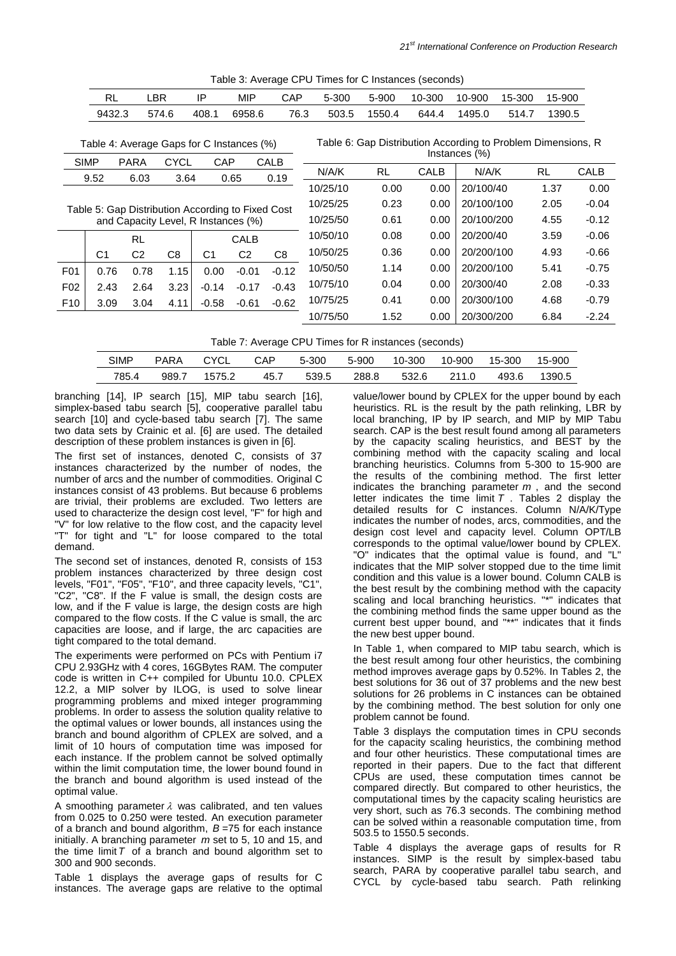|                                                   | <b>RL</b>                                                                                                                                                                                     | LBR            |       | IP             | <b>MIP</b>     | CAP            | 5-300    | 5-900     | 10-300 | 10-900     | 15-300  | 15-900 |         |
|---------------------------------------------------|-----------------------------------------------------------------------------------------------------------------------------------------------------------------------------------------------|----------------|-------|----------------|----------------|----------------|----------|-----------|--------|------------|---------|--------|---------|
|                                                   | 9432.3                                                                                                                                                                                        |                | 574.6 | 408.1          | 6958.6         | 76.3           | 503.5    | 1550.4    | 644.4  | 1495.0     | 514.7   | 1390.5 |         |
|                                                   | Table 6: Gap Distribution According to Problem Dimensions, R<br>Table 4: Average Gaps for C Instances (%)<br>Instances (%)<br><b>CYCL</b><br><b>CALB</b><br><b>SIMP</b><br><b>PARA</b><br>CAP |                |       |                |                |                |          |           |        |            |         |        |         |
|                                                   | 9.52                                                                                                                                                                                          | 6.03           | 3.64  |                | 0.65           | 0.19           | N/A/K    | <b>RL</b> | CALB   | N/A/K      |         | RL     | CALB    |
|                                                   |                                                                                                                                                                                               |                |       |                |                |                | 10/25/10 | 0.00      | 0.00   | 20/100/40  |         | 1.37   | 0.00    |
| Table 5: Gap Distribution According to Fixed Cost |                                                                                                                                                                                               |                |       |                |                |                | 10/25/25 | 0.23      | 0.00   | 20/100/100 |         | 2.05   | $-0.04$ |
|                                                   | and Capacity Level, R Instances (%)                                                                                                                                                           |                |       |                |                |                |          | 0.61      | 0.00   | 20/100/200 |         | 4.55   | $-0.12$ |
|                                                   | <b>RL</b><br>CALB                                                                                                                                                                             |                |       |                | 10/50/10       | 0.08           | 0.00     | 20/200/40 |        | 3.59       | $-0.06$ |        |         |
|                                                   | C <sub>1</sub>                                                                                                                                                                                | C <sub>2</sub> | C8    | C <sub>1</sub> | C <sub>2</sub> | C <sub>8</sub> | 10/50/25 | 0.36      | 0.00   | 20/200/100 |         | 4.93   | $-0.66$ |
| F01                                               | 0.76                                                                                                                                                                                          | 0.78           | 1.15  | 0.00           | $-0.01$        | $-0.12$        | 10/50/50 | 1.14      | 0.00   | 20/200/100 |         | 5.41   | $-0.75$ |
| F <sub>02</sub>                                   | 2.43                                                                                                                                                                                          | 2.64           | 3.23  | $-0.14$        | $-0.17$        | $-0.43$        | 10/75/10 | 0.04      | 0.00   | 20/300/40  |         | 2.08   | $-0.33$ |
| F <sub>10</sub>                                   | 3.09                                                                                                                                                                                          | 3.04           | 4.11  | $-0.58$        | $-0.61$        | $-0.62$        | 10/75/25 | 0.41      | 0.00   | 20/300/100 |         | 4.68   | $-0.79$ |
|                                                   |                                                                                                                                                                                               |                |       |                |                |                | 10/75/50 | 1.52      | 0.00   | 20/300/200 |         | 6.84   | $-2.24$ |

Table 3: Average CPU Times for C Instances (seconds)

Table 7: Average CPU Times for R instances (seconds)

| <b>SIMP</b> | <b>PARA</b> | CYCL   | CAP  | 5-300 | 5-900 | 10-300 | 10-900 | 15-300 | 15-900 |
|-------------|-------------|--------|------|-------|-------|--------|--------|--------|--------|
| 785.4       | 989.7       | 1575.2 | 45.7 | 539.5 | 288.8 | 532.6  | 211.0  | 493.6  | 1390.5 |

branching [14], IP search [15], MIP tabu search [16], simplex-based tabu search [5], cooperative parallel tabu search [10] and cycle-based tabu search [7]. The same two data sets by Crainic et al. [6] are used. The detailed description of these problem instances is given in [6].

The first set of instances, denoted C, consists of 37 instances characterized by the number of nodes, the number of arcs and the number of commodities. Original C instances consist of 43 problems. But because 6 problems are trivial, their problems are excluded. Two letters are used to characterize the design cost level, "F" for high and "V" for low relative to the flow cost, and the capacity level "T" for tight and "L" for loose compared to the total demand.

The second set of instances, denoted R, consists of 153 problem instances characterized by three design cost levels, "F01", "F05", "F10", and three capacity levels, "C1", "C2", "C8". If the F value is small, the design costs are low, and if the F value is large, the design costs are high compared to the flow costs. If the C value is small, the arc capacities are loose, and if large, the arc capacities are tight compared to the total demand.

The experiments were performed on PCs with Pentium i7 CPU 2.93GHz with 4 cores, 16GBytes RAM. The computer code is written in C++ compiled for Ubuntu 10.0. CPLEX 12.2, a MIP solver by ILOG, is used to solve linear programming problems and mixed integer programming problems. In order to assess the solution quality relative to the optimal values or lower bounds, all instances using the branch and bound algorithm of CPLEX are solved, and a limit of 10 hours of computation time was imposed for each instance. If the problem cannot be solved optimally within the limit computation time, the lower bound found in the branch and bound algorithm is used instead of the optimal value.

A smoothing parameter  $\lambda$  was calibrated, and ten values from 0.025 to 0.250 were tested. An execution parameter of a branch and bound algorithm, *B* =75 for each instance initially. A branching parameter *m* set to 5, 10 and 15, and the time limit  $T$  of a branch and bound algorithm set to 300 and 900 seconds.

Table 1 displays the average gaps of results for C instances. The average gaps are relative to the optimal value/lower bound by CPLEX for the upper bound by each heuristics. RL is the result by the path relinking, LBR by local branching, IP by IP search, and MIP by MIP Tabu search. CAP is the best result found among all parameters by the capacity scaling heuristics, and BEST by the combining method with the capacity scaling and local branching heuristics. Columns from 5-300 to 15-900 are the results of the combining method. The first letter indicates the branching parameter *m* , and the second letter indicates the time limit  $T$ . Tables 2 display the detailed results for C instances. Column N/A/K/Type indicates the number of nodes, arcs, commodities, and the design cost level and capacity level. Column OPT/LB corresponds to the optimal value/lower bound by CPLEX. "O" indicates that the optimal value is found, and "L" indicates that the MIP solver stopped due to the time limit condition and this value is a lower bound. Column CALB is the best result by the combining method with the capacity scaling and local branching heuristics. "\*" indicates that the combining method finds the same upper bound as the current best upper bound, and "\*\*" indicates that it finds the new best upper bound.

In Table 1, when compared to MIP tabu search, which is the best result among four other heuristics, the combining method improves average gaps by 0.52%. In Tables 2, the best solutions for 36 out of 37 problems and the new best solutions for 26 problems in C instances can be obtained by the combining method. The best solution for only one problem cannot be found.

Table 3 displays the computation times in CPU seconds for the capacity scaling heuristics, the combining method and four other heuristics. These computational times are reported in their papers. Due to the fact that different CPUs are used, these computation times cannot be compared directly. But compared to other heuristics, the computational times by the capacity scaling heuristics are very short, such as 76.3 seconds. The combining method can be solved within a reasonable computation time, from 503.5 to 1550.5 seconds.

Table 4 displays the average gaps of results for R instances. SIMP is the result by simplex-based tabu search, PARA by cooperative parallel tabu search, and CYCL by cycle-based tabu search. Path relinking